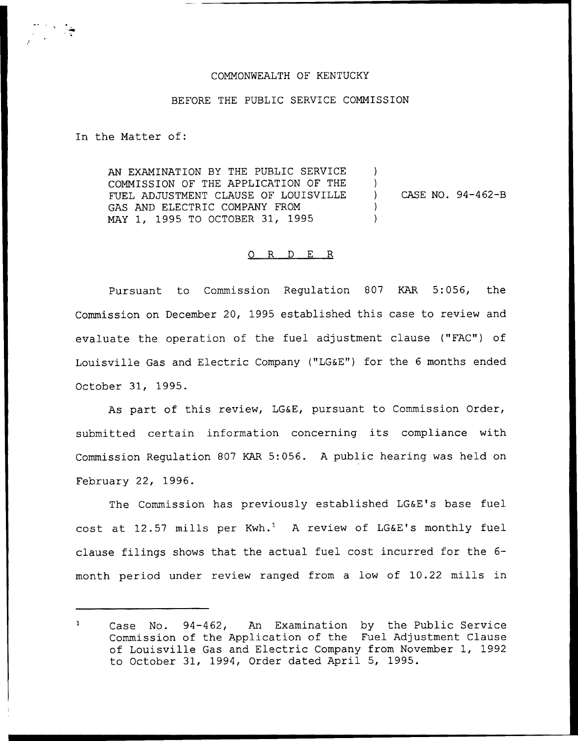## COMMONWEALTH OF KENTUCKY

## BEFORE THE PUBLIC SERVICE COMMISSION

In the Matter of:

AN EXAMINATION BY THE PUBLIC SERVICE COMMISSION OF THE APPLICATION OF THE FUEL ADJUSTMENT CLAUSE OF LOUISVILLE GAS AND ELECTRIC COMPANY FROM MAY 1, 1995 TO OCTOBER 31, 1995  $\lambda$  $\left| \right\rangle$ ) CASE NO. 94-462-B ) )

## 0 R <sup>D</sup> E R

Pursuant to Commission Regulation S07 KAR 5:056, the Commission on December 20, 1995 established this case to review and evaluate the operation of the fuel adjustment clause ("FAC") of Louisville Gas and Electric Company ("LG&E") for the <sup>6</sup> months ended October 31, 1995.

As part of this review, LG&E, pursuant to Commission Order, submitted certain information concerning its compliance with Commission Regulation 807 KAR 5:056. <sup>A</sup> public hearing was held on February 22, 1996.

The Commission has previously established LG&E's base fuel cost at 12.57 mills per  $Kwh.^1$  A review of LG&E's monthly fuel clause filings shows that the actual fuel cost incurred for the 6 month period under review ranged from a low of 10.22 mills in

 $\mathbf{1}$ Case No. 94-462, An Examination by the Public Service Commission of the Application of the Fuel Adjustment Clause of Louisville Gas and Electric Company from November 1, 1992 to October 31, 1994, Order dated April 5, 1995.